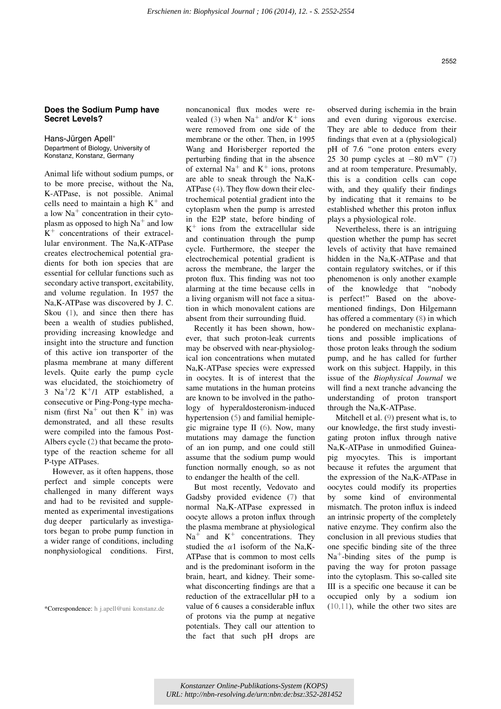## Does the Sodium Pump have Secret Levels?

Hans-Jürgen Apell\* Department of Biology, University of Konstanz, Konstanz, Germany

Animal life without sodium pumps, or to be more precise, without the Na, K-ATPase, is not possible. Animal cells need to maintain a high  $K^+$  and a low  $Na<sup>+</sup>$  concentration in their cytoplasm as opposed to high  $Na^+$  and low  $K^+$  concentrations of their extracellular environment. The Na,K-ATPase creates electrochemical potential gradients for both ion species that are essential for cellular functions such as secondary active transport, excitability, and volume regulation. In 1957 the Na,K-ATPase was discovered by J. C. Skou  $(1)$ , and since then there has been a wealth of studies published, providing increasing knowledge and insight into the structure and function of this active ion transporter of the plasma membrane at many different levels. Quite early the pump cycle was elucidated, the stoichiometry of  $3$  Na<sup>+</sup>/2 K<sup>+</sup>/1 ATP established, a consecutive or Ping-Pong-type mechanism (first Na<sup>+</sup> out then K<sup>+</sup> in) was demonstrated, and all these results were compiled into the famous Post-Albers cycle (2) that became the prototype of the reaction scheme for all P-type ATPases.

However, as it often happens, those perfect and simple concepts were challenged in many different ways and had to be revisited and supplemented as experimental investigations dug deeper particularly as investigators began to probe pump function in a wider range of conditions, including nonphysiological conditions. First,

\*Correspondence: h j.apell@uni konstanz.de

noncanonical flux modes were revealed (3) when  $Na<sup>+</sup>$  and/or  $K<sup>+</sup>$  ions were removed from one side of the membrane or the other. Then, in 1995 Wang and Horisberger reported the perturbing finding that in the absence of external  $Na<sup>+</sup>$  and  $K<sup>+</sup>$  ions, protons are able to sneak through the Na,K-ATPase (4). They flow down their electrochemical potential gradient into the cytoplasm when the pump is arrested in the E2P state, before binding of  $K^+$  ions from the extracellular side and continuation through the pump cycle. Furthermore, the steeper the electrochemical potential gradient is across the membrane, the larger the proton flux. This finding was not too alarming at the time because cells in a living organism will not face a situation in which monovalent cations are absent from their surrounding fluid.

Recently it has been shown, however, that such proton-leak currents may be observed with near-physiological ion concentrations when mutated Na,K-ATPase species were expressed in oocytes. It is of interest that the same mutations in the human proteins are known to be involved in the pathology of hyperaldosteronism-induced hypertension (5) and familial hemiplegic migraine type II (6). Now, many mutations may damage the function of an ion pump, and one could still assume that the sodium pump would function normally enough, so as not to endanger the health of the cell.

But most recently, Vedovato and Gadsby provided evidence (7) that normal Na,K-ATPase expressed in oocyte allows a proton influx through the plasma membrane at physiological  $\text{Na}^+$  and  $\text{K}^+$  concentrations. They studied the  $\alpha$ 1 isoform of the Na, K-ATPase that is common to most cells and is the predominant isoform in the brain, heart, and kidney. Their somewhat disconcerting findings are that a reduction of the extracellular pH to a value of 6 causes a considerable influx of protons via the pump at negative potentials. They call our attention to the fact that such pH drops are observed during ischemia in the brain and even during vigorous exercise. They are able to deduce from their findings that even at a (physiological) pH of 7.6 "one proton enters every 25 30 pump cycles at  $-80$  mV"  $(7)$ and at room temperature. Presumably, this is a condition cells can cope with, and they qualify their findings by indicating that it remains to be established whether this proton influx plays a physiological role.

Nevertheless, there is an intriguing question whether the pump has secret levels of activity that have remained hidden in the Na,K-ATPase and that contain regulatory switches, or if this phenomenon is only another example of the knowledge that ''nobody is perfect!'' Based on the abovementioned findings, Don Hilgemann has offered a commentary (8) in which he pondered on mechanistic explanations and possible implications of those proton leaks through the sodium pump, and he has called for further work on this subject. Happily, in this issue of the Biophysical Journal we will find a next tranche advancing the understanding of proton transport through the Na,K-ATPase.

Mitchell et al. (9) present what is, to our knowledge, the first study investigating proton influx through native Na,K-ATPase in unmodified Guineapig myocytes. This is important because it refutes the argument that the expression of the Na,K-ATPase in oocytes could modify its properties by some kind of environmental mismatch. The proton influx is indeed an intrinsic property of the completely native enzyme. They confirm also the conclusion in all previous studies that one specific binding site of the three  $Na<sup>+</sup>$ -binding sites of the pump is paving the way for proton passage into the cytoplasm. This so-called site III is a specific one because it can be occupied only by a sodium ion (10,11), while the other two sites are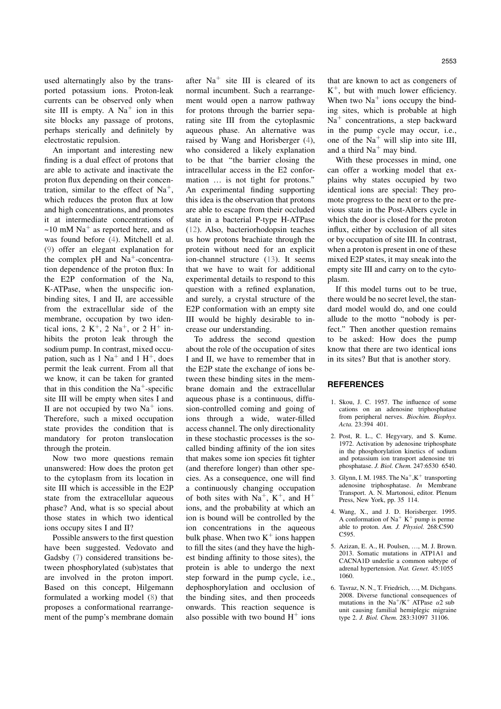used alternatingly also by the transported potassium ions. Proton-leak currents can be observed only when site III is empty. A  $Na<sup>+</sup>$  ion in this site blocks any passage of protons, perhaps sterically and definitely by electrostatic repulsion.

An important and interesting new finding is a dual effect of protons that are able to activate and inactivate the proton flux depending on their concentration, similar to the effect of  $Na<sup>+</sup>$ , which reduces the proton flux at low and high concentrations, and promotes it at intermediate concentrations of ~10 mM  $\text{Na}^+$  as reported here, and as was found before (4). Mitchell et al. (9) offer an elegant explanation for the complex  $pH$  and  $Na<sup>+</sup>$ -concentration dependence of the proton flux: In the E2P conformation of the Na, K-ATPase, when the unspecific ionbinding sites, I and II, are accessible from the extracellular side of the membrane, occupation by two identical ions,  $2 K<sup>+</sup>$ ,  $2 Na<sup>+</sup>$ , or  $2 H<sup>+</sup>$  inhibits the proton leak through the sodium pump. In contrast, mixed occupation, such as  $1 \text{ Na}^+$  and  $1 \text{ H}^+$ , does permit the leak current. From all that we know, it can be taken for granted that in this condition the  $Na<sup>+</sup>$ -specific site III will be empty when sites I and II are not occupied by two  $Na<sup>+</sup>$  ions. Therefore, such a mixed occupation state provides the condition that is mandatory for proton translocation through the protein.

Now two more questions remain unanswered: How does the proton get to the cytoplasm from its location in site III which is accessible in the E2P state from the extracellular aqueous phase? And, what is so special about those states in which two identical ions occupy sites I and II?

Possible answers to the first question have been suggested. Vedovato and Gadsby (7) considered transitions between phosphorylated (sub)states that are involved in the proton import. Based on this concept, Hilgemann formulated a working model (8) that proposes a conformational rearrangement of the pump's membrane domain

after  $Na<sup>+</sup>$  site III is cleared of its normal incumbent. Such a rearrangement would open a narrow pathway for protons through the barrier separating site III from the cytoplasmic aqueous phase. An alternative was raised by Wang and Horisberger (4), who considered a likely explanation to be that ''the barrier closing the intracellular access in the E2 conformation ... is not tight for protons." An experimental finding supporting this idea is the observation that protons are able to escape from their occluded state in a bacterial P-type H-ATPase (12). Also, bacteriorhodopsin teaches us how protons brachiate through the protein without need for an explicit ion-channel structure (13). It seems that we have to wait for additional experimental details to respond to this question with a refined explanation, and surely, a crystal structure of the E2P conformation with an empty site III would be highly desirable to increase our understanding.

To address the second question about the role of the occupation of sites I and II, we have to remember that in the E2P state the exchange of ions between these binding sites in the membrane domain and the extracellular aqueous phase is a continuous, diffusion-controlled coming and going of ions through a wide, water-filled access channel. The only directionality in these stochastic processes is the socalled binding affinity of the ion sites that makes some ion species fit tighter (and therefore longer) than other species. As a consequence, one will find a continuously changing occupation of both sites with  $\text{Na}^+$ ,  $\text{K}^+$ , and  $\text{H}^+$ ions, and the probability at which an ion is bound will be controlled by the ion concentrations in the aqueous bulk phase. When two  $K^+$  ions happen to fill the sites (and they have the highest binding affinity to those sites), the protein is able to undergo the next step forward in the pump cycle, i.e., dephosphorylation and occlusion of the binding sites, and then proceeds onwards. This reaction sequence is also possible with two bound  $H^+$  ions that are known to act as congeners of  $K^+$ , but with much lower efficiency. When two  $Na<sup>+</sup>$  ions occupy the binding sites, which is probable at high  $Na<sup>+</sup>$  concentrations, a step backward in the pump cycle may occur, i.e., one of the  $Na<sup>+</sup>$  will slip into site III, and a third  $Na<sup>+</sup>$  may bind.

With these processes in mind, one can offer a working model that explains why states occupied by two identical ions are special: They promote progress to the next or to the previous state in the Post-Albers cycle in which the door is closed for the proton influx, either by occlusion of all sites or by occupation of site III. In contrast, when a proton is present in one of these mixed E2P states, it may sneak into the empty site III and carry on to the cytoplasm.

If this model turns out to be true, there would be no secret level, the standard model would do, and one could allude to the motto ''nobody is perfect.'' Then another question remains to be asked: How does the pump know that there are two identical ions in its sites? But that is another story.

## **REFERENCES**

- 1. Skou, J. C. 1957. The influence of some cations on an adenosine triphosphatase from peripheral nerves. Biochim. Biophys. Acta. 23:394 401.
- 2. Post, R. L., C. Hegyvary, and S. Kume. 1972. Activation by adenosine triphosphate in the phosphorylation kinetics of sodium and potassium ion transport adenosine tri phosphatase. J. Biol. Chem. 247:6530 6540.
- 3. Glynn, I. M. 1985. The  $Na^+, K^+$  transporting adenosine triphosphatase. In Membrane Transport. A. N. Martonosi, editor. Plenum Press, New York, pp. 35 114.
- 4. Wang, X., and J. D. Horisberger. 1995. A conformation of  $Na^+ K^+$  pump is perme able to proton. Am. J. Physiol. 268:C590 C595.
- 5. Azizan, E. A., H. Poulsen, ., M. J. Brown. 2013. Somatic mutations in ATP1A1 and CACNA1D underlie a common subtype of adrenal hypertension. Nat. Genet. 45:1055 1060.
- 6. Tavraz, N. N., T. Friedrich, ..., M. Dichgans. 2008. Diverse functional consequences of mutations in the Na<sup>+</sup>/K<sup>+</sup> ATPase  $\alpha$ 2 sub unit causing familial hemiplegic migraine type 2. J. Biol. Chem. 283:31097 31106.